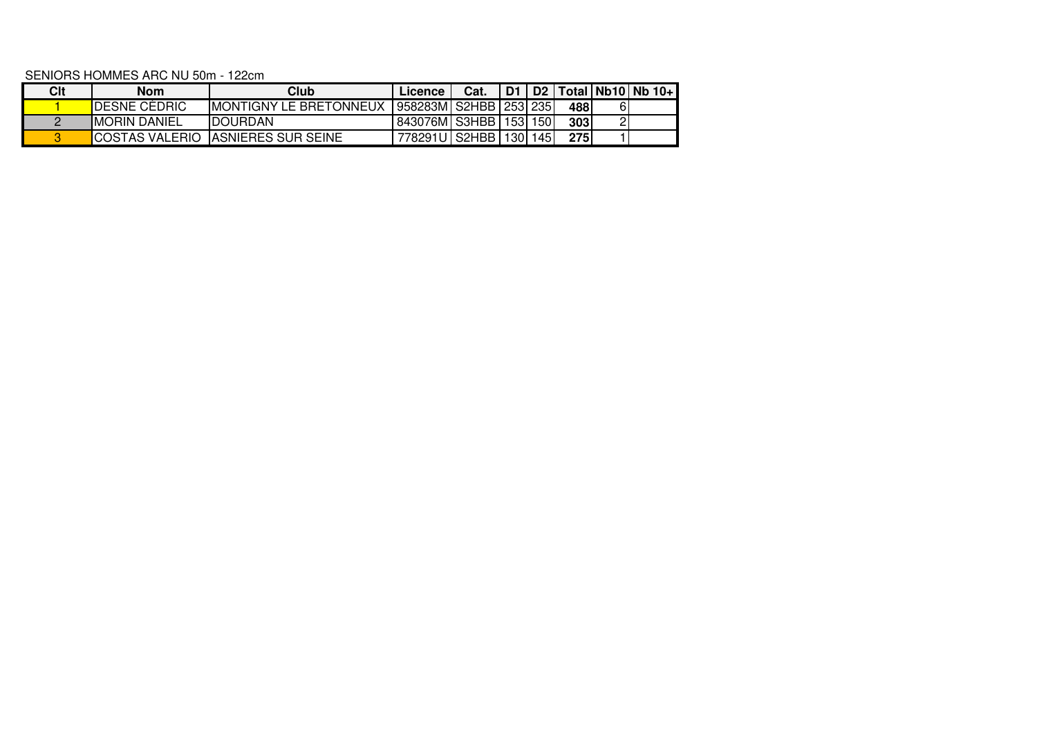SENIORS HOMMES ARC NU 50m - 122cm

| Clt | Nom                   | Club                           | Licence                     | Cat. |  |     |   | D1   D2   Total   Nb10   Nb 10+ |
|-----|-----------------------|--------------------------------|-----------------------------|------|--|-----|---|---------------------------------|
|     | <b>IDESNE CEDRIC</b>  | <b>IMONTIGNY LE BRETONNEUX</b> | 958283M   S2HBB   253   235 |      |  | 488 | 6 |                                 |
|     | <b>IMORIN DANIEL</b>  | <b>IDOURDAN</b>                | 843076M S3HBB 153 150       |      |  | 303 |   |                                 |
|     | <b>COSTAS VALERIO</b> | <b>IASNIERES SUR SEINE</b>     | 778291U   S2HBB   130   145 |      |  | 275 |   |                                 |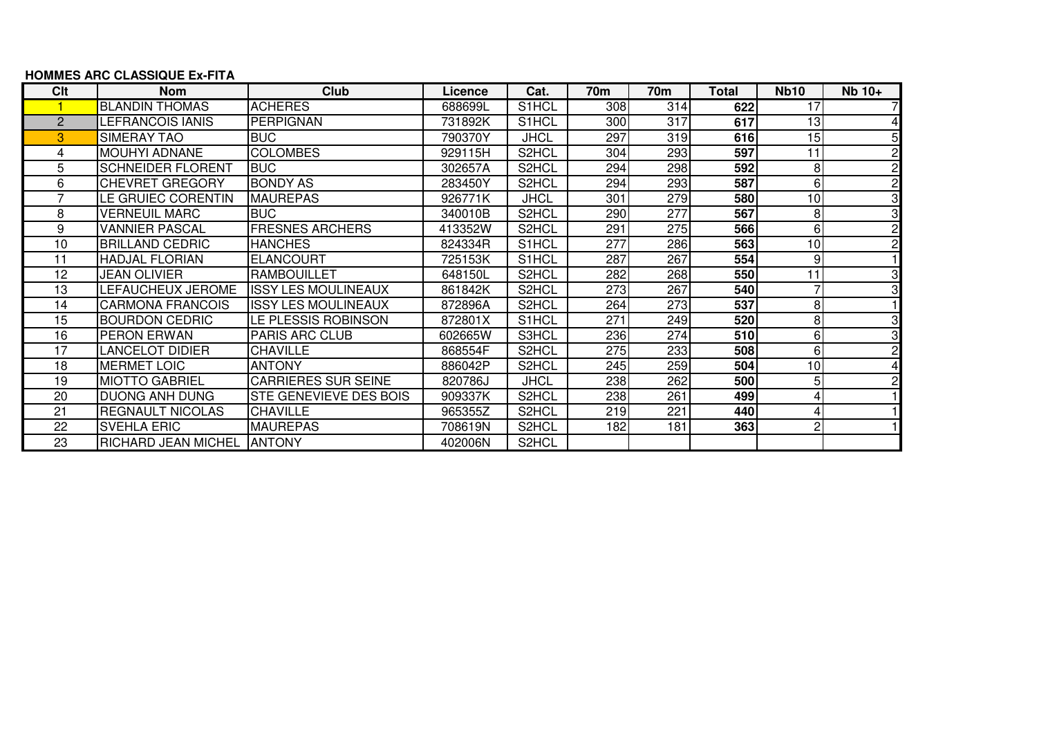## **HOMMES ARC CLASSIQUE Ex-FITA**

| Clt            | <b>Nom</b>               | Club                          | Licence | Cat.                           | 70m | 70m | Total | <b>Nb10</b> | $Nb 10+$ |
|----------------|--------------------------|-------------------------------|---------|--------------------------------|-----|-----|-------|-------------|----------|
|                | <b>BLANDIN THOMAS</b>    | <b>ACHERES</b>                | 688699L | S1HCL                          | 308 | 314 | 622   | 17          |          |
| $\overline{2}$ | LEFRANCOIS IANIS         | <b>PERPIGNAN</b>              | 731892K | S1HCL                          | 300 | 317 | 617   | 13          |          |
| 3              | SIMERAY TAO              | <b>BUC</b>                    | 790370Y | <b>JHCL</b>                    | 297 | 319 | 616   | 15          |          |
| 4              | <b>MOUHYI ADNANE</b>     | <b>COLOMBES</b>               | 929115H | S2HCL                          | 304 | 293 | 597   | 11          |          |
| 5              | <b>SCHNEIDER FLORENT</b> | <b>BUC</b>                    | 302657A | S2HCL                          | 294 | 298 | 592   | 8           | 2        |
| 6              | <b>CHEVRET GREGORY</b>   | <b>BONDY AS</b>               | 283450Y | S2HCL                          | 294 | 293 | 587   | 6           | 2        |
|                | LE GRUIEC CORENTIN       | <b>MAUREPAS</b>               | 926771K | <b>JHCL</b>                    | 301 | 279 | 580   | 10          | 3        |
| 8              | <b>VERNEUIL MARC</b>     | <b>BUC</b>                    | 340010B | S2HCL                          | 290 | 277 | 567   | 8           | 3        |
| 9              | <b>VANNIER PASCAL</b>    | <b>FRESNES ARCHERS</b>        | 413352W | S2HCL                          | 291 | 275 | 566   | 6           |          |
| 10             | <b>BRILLAND CEDRIC</b>   | <b>HANCHES</b>                | 824334R | S1HCL                          | 277 | 286 | 563   | 10          |          |
| 11             | <b>HADJAL FLORIAN</b>    | <b>ELANCOURT</b>              | 725153K | S <sub>1</sub> HCL             | 287 | 267 | 554   | 9           |          |
| 12             | JEAN OLIVIER             | <b>RAMBOUILLET</b>            | 648150L | S2HCL                          | 282 | 268 | 550   | 11          | 3        |
| 13             | LEFAUCHEUX JEROME        | <b>ISSY LES MOULINEAUX</b>    | 861842K | S2HCL                          | 273 | 267 | 540   |             |          |
| 14             | <b>CARMONA FRANCOIS</b>  | <b>ISSY LES MOULINEAUX</b>    | 872896A | S2HCL                          | 264 | 273 | 537   | 8           |          |
| 15             | <b>BOURDON CEDRIC</b>    | LE PLESSIS ROBINSON           | 872801X | S1HCL                          | 271 | 249 | 520   | 8           |          |
| 16             | PERON ERWAN              | <b>PARIS ARC CLUB</b>         | 602665W | S3HCL                          | 236 | 274 | 510   | 6           | 3        |
| 17             | LANCELOT DIDIER          | <b>CHAVILLE</b>               | 868554F | S2HCL                          | 275 | 233 | 508   | 6           | 2        |
| 18             | <b>MERMET LOIC</b>       | <b>ANTONY</b>                 | 886042P | S2HCL                          | 245 | 259 | 504   | 10          |          |
| 19             | <b>MIOTTO GABRIEL</b>    | <b>CARRIERES SUR SEINE</b>    | 820786J | <b>JHCL</b>                    | 238 | 262 | 500   | 5           |          |
| 20             | <b>DUONG ANH DUNG</b>    | <b>STE GENEVIEVE DES BOIS</b> | 909337K | S2HCL                          | 238 | 261 | 499   |             |          |
| 21             | <b>REGNAULT NICOLAS</b>  | <b>CHAVILLE</b>               | 965355Z | S2HCL                          | 219 | 221 | 440   | 4           |          |
| 22             | <b>SVEHLA ERIC</b>       | <b>MAUREPAS</b>               | 708619N | S <sub>2</sub> H <sub>CL</sub> | 182 | 181 | 363   | 2           |          |
| 23             | RICHARD JEAN MICHEL      | <b>ANTONY</b>                 | 402006N | S2HCL                          |     |     |       |             |          |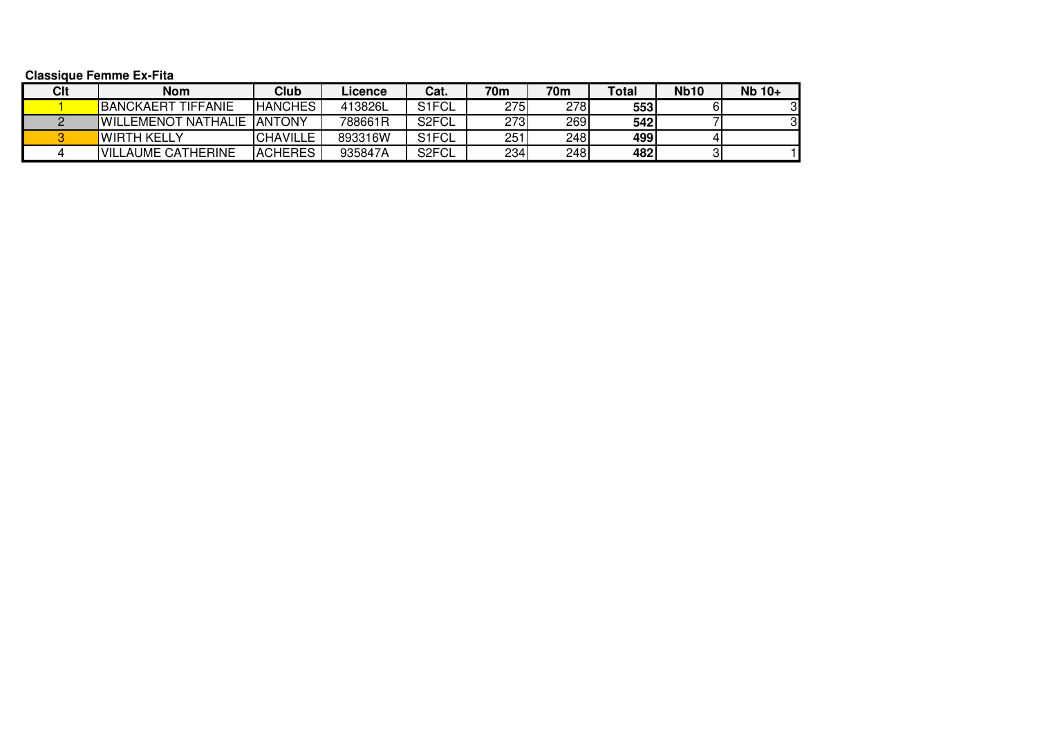**Classique Femme Ex-Fita**

| Clt | <b>Nom</b>                          | Club            | Licence | Cat.               | 70 <sub>m</sub> | 70 <sub>m</sub> | Total | <b>Nb10</b> | Nb 10+ |
|-----|-------------------------------------|-----------------|---------|--------------------|-----------------|-----------------|-------|-------------|--------|
|     | <b>BANCKAERT TIFFANIE</b>           | <b>HANCHES</b>  | 413826L | S <sub>1</sub> FCL | 275             | 2781            | 553   |             |        |
|     | <b>IWILLEMENOT NATHALIE IANTONY</b> |                 | 788661R | S <sub>2</sub> FCL | 2731            | 269             | 542   |             |        |
|     | WIRTH KELLY                         | <b>CHAVILLE</b> | 893316W | S <sub>1</sub> FCL | 251             | 248I            | 499   |             |        |
|     | <b>IVILLAUME CATHERINE</b>          | <b>ACHERES</b>  | 935847A | S <sub>2</sub> FCL | 234             | 248             | 482   |             |        |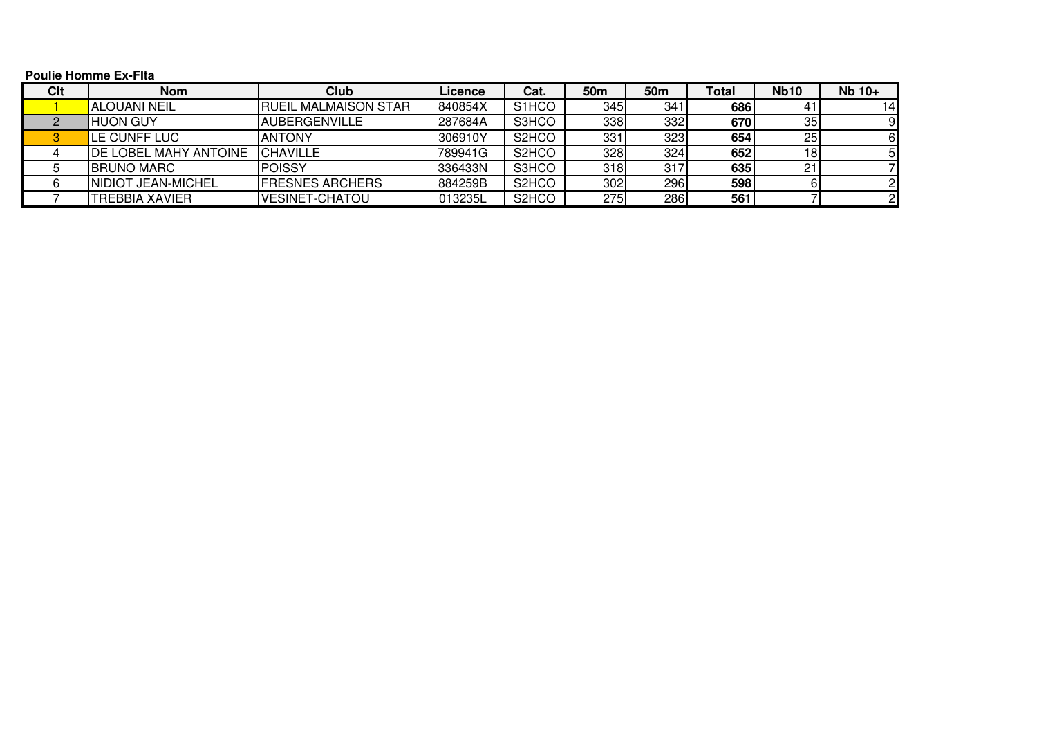## **Poulie Homme Ex-FIta**

| Clt | <b>Nom</b>                   | Club                         | Licence | Cat.                           | 50 <sub>m</sub> | 50 <sub>m</sub> | <b>Total</b> | <b>Nb10</b> | Nb 10+ |
|-----|------------------------------|------------------------------|---------|--------------------------------|-----------------|-----------------|--------------|-------------|--------|
|     | <b>ALOUANI NEIL</b>          | <b>IRUEIL MALMAISON STAR</b> | 840854X | S <sub>1</sub> HCO             | 345             | 341             | 686          | 41          | 14I    |
|     | HUON GUY                     | <b>AUBERGENVILLE</b>         | 287684A | S3HCO                          | 338             | 332             | 670          | 35          |        |
|     | LE CUNFF LUC                 | <b>ANTONY</b>                | 306910Y | S <sub>2</sub> H <sub>CO</sub> | 331             | 323             | 654          | 25          |        |
|     | <b>DE LOBEL MAHY ANTOINE</b> | <b>ICHAVILLE</b>             | 789941G | S <sub>2</sub> H <sub>CO</sub> | 328             | 324             | 652          | 18          |        |
|     | <b>IBRUNO MARC</b>           | <b>POISSY</b>                | 336433N | S3HCO                          | 318             | 317             | 635          |             |        |
|     | NIDIOT JEAN-MICHEL           | <b>FRESNES ARCHERS</b>       | 884259B | S <sub>2</sub> H <sub>CO</sub> | 302             | 296             | 598          |             |        |
|     | <b>TREBBIA XAVIER</b>        | <b>VESINET-CHATOU</b>        | 013235L | S <sub>2</sub> H <sub>CO</sub> | 275             | 286             | 561          |             |        |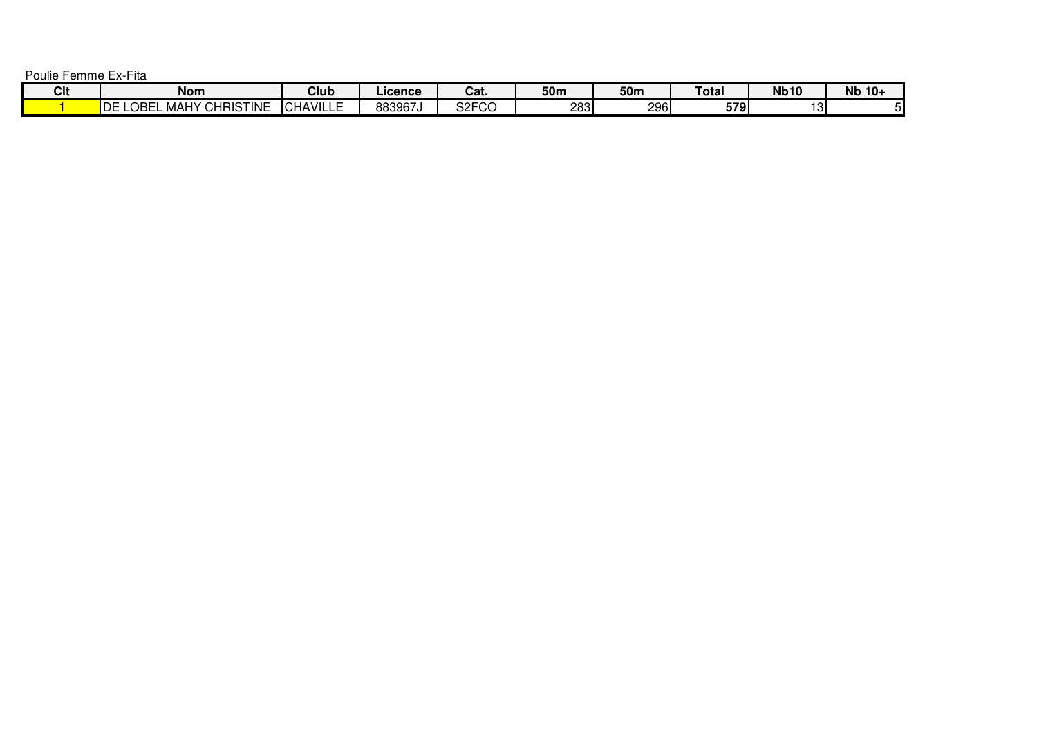Poulie Femme Ex-Fita

| Clt | <b>Nom</b>                                   | Club                                    | ∟icence⊹ | ּ״<br>val.                 | 50m  | 50m | Гоtal | <b>Nb10</b>     | <b>Nb</b><br>10+ |
|-----|----------------------------------------------|-----------------------------------------|----------|----------------------------|------|-----|-------|-----------------|------------------|
|     | <b>CHRISTINE</b><br>'DE<br>OBE<br>LB.<br>MA⊢ | <b>HAVILL.</b><br>-<br>$\sim$<br>– CHA⊺ | 883967J  | $\sim$ $\sim$<br>ാ∠⊏്<br>◡ | 2831 | 296 | 579   | $\sim$<br>ا د ب |                  |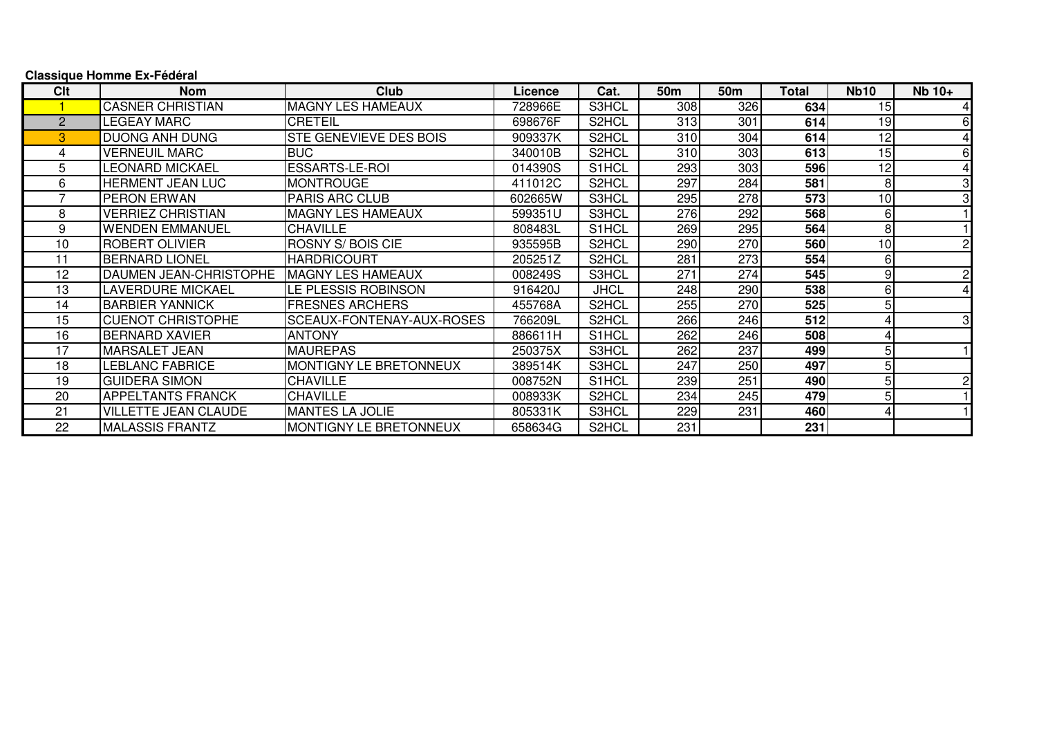| Clt           | <b>Nom</b>                  | Club                          | Licence | Cat.        | 50m | 50 <sub>m</sub> | Total | <b>Nb10</b> | $Nb 10+$       |
|---------------|-----------------------------|-------------------------------|---------|-------------|-----|-----------------|-------|-------------|----------------|
|               | <b>CASNER CHRISTIAN</b>     | <b>MAGNY LES HAMEAUX</b>      | 728966E | S3HCL       | 308 | 326             | 634   | 15          | 41             |
| $\mathcal{P}$ | <b>LEGEAY MARC</b>          | <b>CRETEIL</b>                | 698676F | S2HCL       | 313 | 301             | 614   | 19          | 6              |
| 3             | <b>DUONG ANH DUNG</b>       | <b>STE GENEVIEVE DES BOIS</b> | 909337K | S2HCL       | 310 | 304             | 614   | 12          |                |
|               | <b>VERNEUIL MARC</b>        | <b>BUC</b>                    | 340010B | S2HCL       | 310 | 303             | 613   | 15          | 61             |
| 5             | LEONARD MICKAEL             | <b>ESSARTS-LE-ROI</b>         | 014390S | S1HCL       | 293 | 303             | 596   | 12          | 41             |
| 6             | <b>HERMENT JEAN LUC</b>     | <b>MONTROUGE</b>              | 411012C | S2HCL       | 297 | 284             | 581   | 8           | 3              |
|               | <b>PERON ERWAN</b>          | <b>PARIS ARC CLUB</b>         | 602665W | S3HCL       | 295 | 278             | 573   | 10          | 31             |
| 8             | <b>VERRIEZ CHRISTIAN</b>    | <b>MAGNY LES HAMEAUX</b>      | 599351U | S3HCL       | 276 | 292             | 568   | 6           |                |
| 9             | <b>WENDEN EMMANUEL</b>      | <b>CHAVILLE</b>               | 808483L | S1HCL       | 269 | 295             | 564   | 8           |                |
| 10            | <b>ROBERT OLIVIER</b>       | <b>ROSNY S/ BOIS CIE</b>      | 935595B | S2HCL       | 290 | 270             | 560   | 10          | $\overline{2}$ |
| 11            | <b>BERNARD LIONEL</b>       | <b>HARDRICOURT</b>            | 205251Z | S2HCL       | 281 | 273             | 554   | 6           |                |
| 12            | DAUMEN JEAN-CHRISTOPHE      | IMAGNY LES HAMEAUX            | 008249S | S3HCL       | 271 | 274             | 545   | 9           | $\overline{2}$ |
| 13            | <b>LAVERDURE MICKAEL</b>    | LE PLESSIS ROBINSON           | 916420J | <b>JHCL</b> | 248 | 290             | 538   | 6           | 4              |
| 14            | <b>BARBIER YANNICK</b>      | <b>FRESNES ARCHERS</b>        | 455768A | S2HCL       | 255 | 270             | 525   | 5           |                |
| 15            | <b>CUENOT CHRISTOPHE</b>    | SCEAUX-FONTENAY-AUX-ROSES     | 766209L | S2HCL       | 266 | 246             | 512   |             | 3              |
| 16            | <b>BERNARD XAVIER</b>       | <b>ANTONY</b>                 | 886611H | S1HCL       | 262 | 246             | 508   |             |                |
| 17            | IMARSALET JEAN              | <b>MAUREPAS</b>               | 250375X | S3HCL       | 262 | 237             | 499   | 5           |                |
| 18            | LEBLANC FABRICE             | MONTIGNY LE BRETONNEUX        | 389514K | S3HCL       | 247 | 250             | 497   |             |                |
| 19            | <b>GUIDERA SIMON</b>        | <b>CHAVILLE</b>               | 008752N | S1HCL       | 239 | 251             | 490   | 5           | $\overline{2}$ |
| 20            | <b>APPELTANTS FRANCK</b>    | <b>CHAVILLE</b>               | 008933K | S2HCL       | 234 | 245             | 479   | 5           |                |
| 21            | <b>VILLETTE JEAN CLAUDE</b> | <b>MANTES LA JOLIE</b>        | 805331K | S3HCL       | 229 | 231             | 460   |             |                |
| 22            | MALASSIS FRANTZ             | <b>MONTIGNY LE BRETONNEUX</b> | 658634G | S2HCL       | 231 |                 | 231   |             |                |

## **Classique Homme Ex-Fédéral**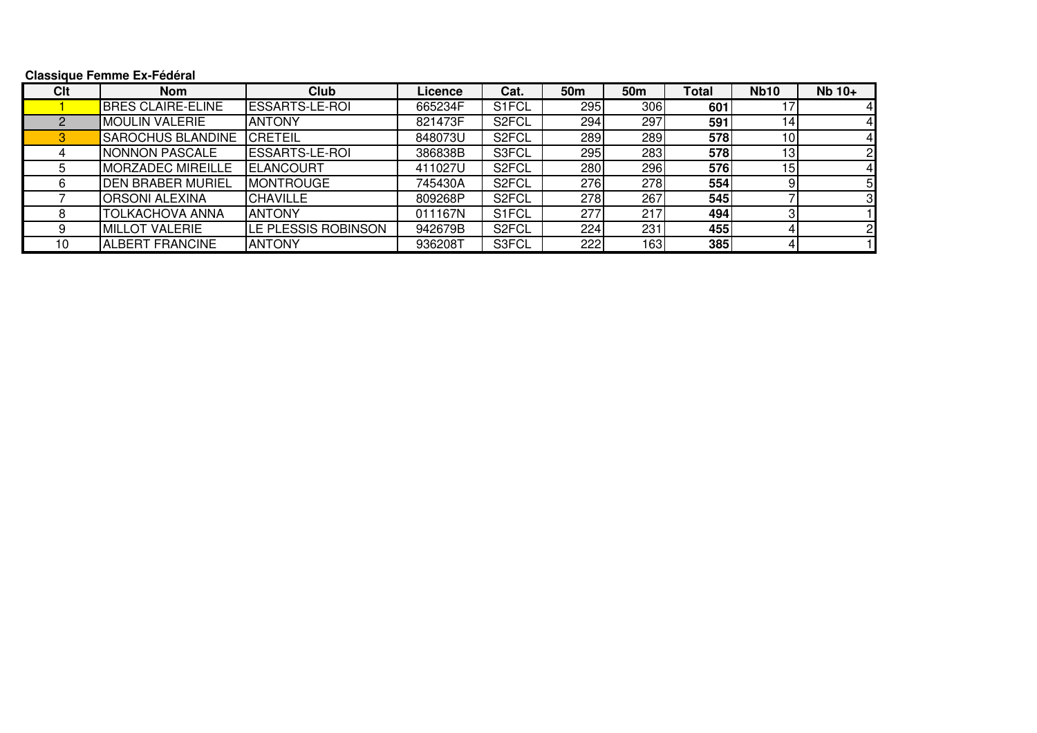## **Classique Femme Ex-Fédéral**

| Clt | <b>Nom</b>               | Club                       | Licence | Cat.               | 50 <sub>m</sub> | 50m | <b>Total</b> | <b>Nb10</b>     | Nb 10+ |
|-----|--------------------------|----------------------------|---------|--------------------|-----------------|-----|--------------|-----------------|--------|
|     | <b>BRES CLAIRE-ELINE</b> | <b>ESSARTS-LE-ROI</b>      | 665234F | S1FCL              | 295             | 306 | 601          |                 |        |
|     | <b>IMOULIN VALERIE</b>   | <b>ANTONY</b>              | 821473F | S <sub>2</sub> FCL | 294             | 297 | 591          |                 |        |
|     | <b>SAROCHUS BLANDINE</b> | <b>CRETEIL</b>             | 848073U | S <sub>2</sub> FCL | 289             | 289 | 578          |                 |        |
|     | NONNON PASCALE           | <b>ESSARTS-LE-ROI</b>      | 386838B | S3FCL              | 295             | 283 | 578          | 13 <sub>1</sub> |        |
|     | <b>MORZADEC MIREILLE</b> | <b>ELANCOURT</b>           | 411027U | S <sub>2</sub> FCL | 280             | 296 | 576          | 15              |        |
|     | <b>DEN BRABER MURIEL</b> | <b>MONTROUGE</b>           | 745430A | S <sub>2</sub> FCL | 276             | 278 | 554          |                 | 5      |
|     | <b>ORSONI ALEXINA</b>    | <b>CHAVILLE</b>            | 809268P | S <sub>2</sub> FCL | 278             | 267 | 545          |                 |        |
|     | <b>TOLKACHOVA ANNA</b>   | <b>ANTONY</b>              | 011167N | S1FCL              | 277             | 217 | 494          |                 |        |
|     | <b>MILLOT VALERIE</b>    | <b>LE PLESSIS ROBINSON</b> | 942679B | S <sub>2</sub> FCL | 224             | 231 | 455          |                 |        |
| 10  | <b>ALBERT FRANCINE</b>   | <b>ANTONY</b>              | 936208T | S3FCL              | 222             | 163 | 385          |                 |        |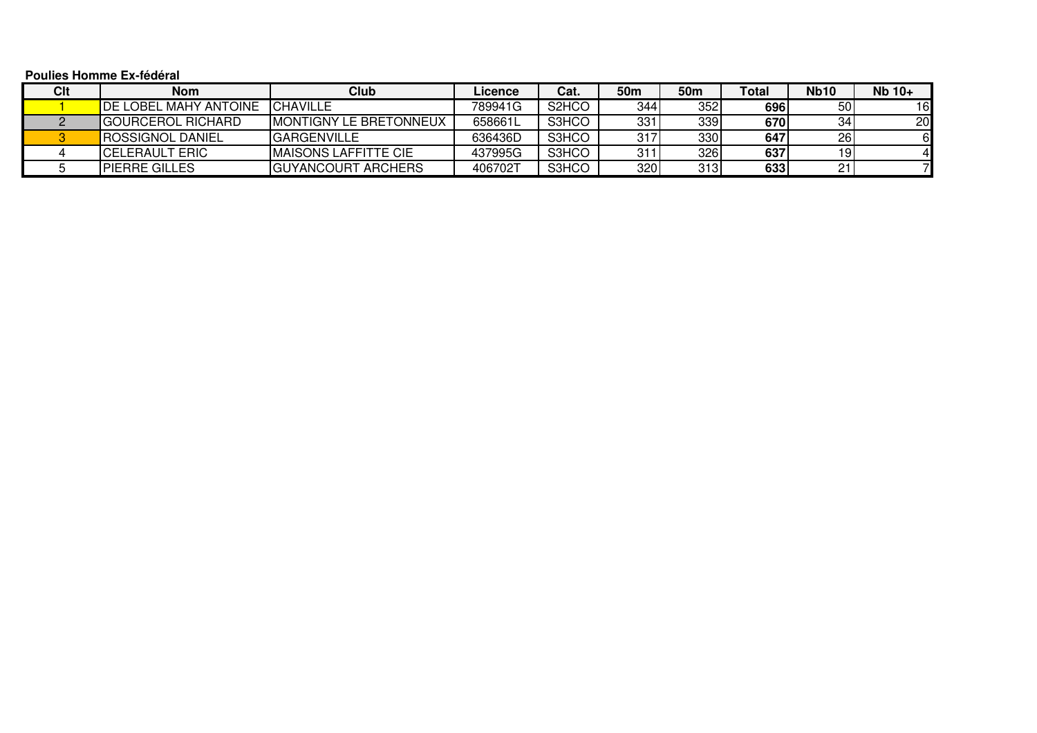**Poulies Homme Ex-fédéral**

| Clt | <b>Nom</b>                     | <b>Club</b>                    | Licence | Cat.                           | 50m | 50m | <b>Total</b> | <b>Nb10</b> | Nb 10+          |
|-----|--------------------------------|--------------------------------|---------|--------------------------------|-----|-----|--------------|-------------|-----------------|
|     | <b>I</b> DE LOBEL MAHY ANTOINE | ICHAVILLE                      | 789941G | S <sub>2</sub> H <sub>CO</sub> | 344 | 352 | 696          | 50          | 161             |
|     | IGOURCEROL RICHARD             | <b>IMONTIGNY LE BRETONNEUX</b> | 658661L | S3HCO                          | 331 | 339 | 6701         | 34          | 20 <sub>l</sub> |
|     | <b>ROSSIGNOL DANIEL</b>        | <b>IGARGENVILLE</b>            | 636436D | S3HCO                          | 317 | 330 | 647          | 26          |                 |
|     | <b>ICELERAULT ERIC</b>         | IMAISONS LAFFITTE CIE          | 437995G | S3HCO                          | 31. | 326 | 637          | 191         |                 |
|     | <b>IPIERRE GILLES</b>          | <b>IGUYANCOURT ARCHERS</b>     | 406702T | S3HCO                          | 320 | 313 | 633          | 21          |                 |